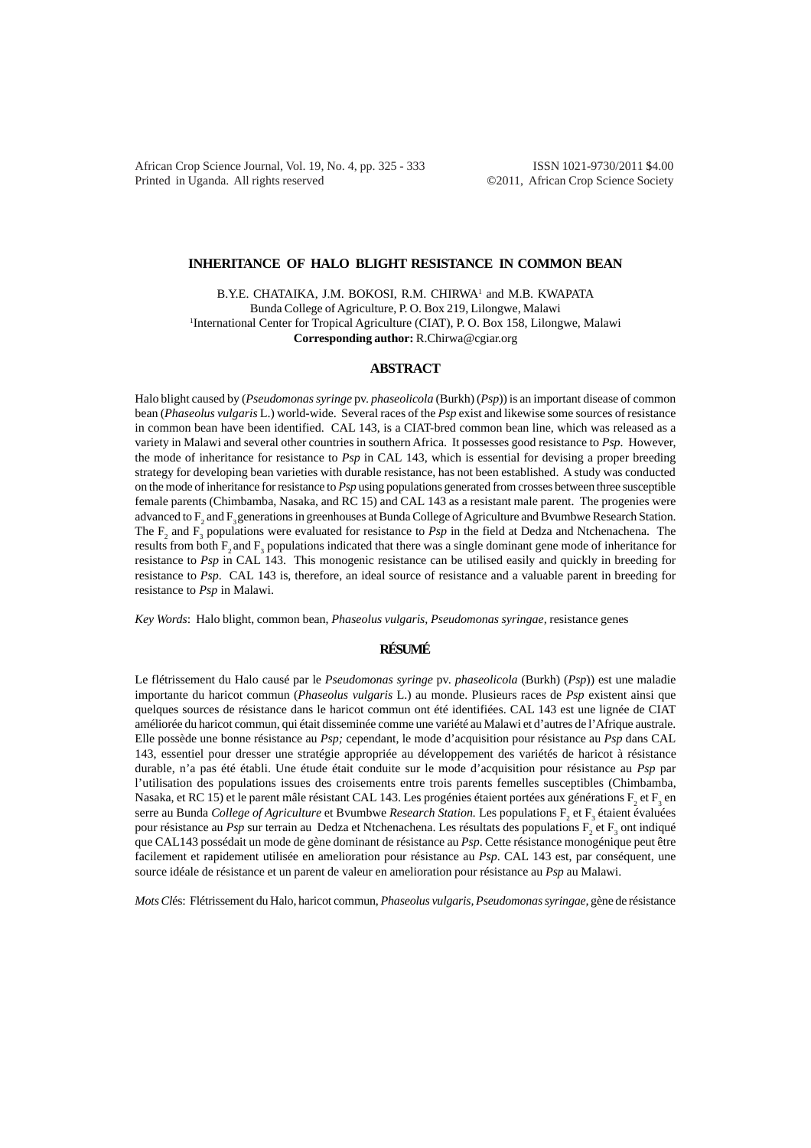African Crop Science Journal, Vol. 19, No. 4, pp. 325 - 333 ISSN 1021-9730/2011 \$4.00 Printed in Uganda. All rights reserved ©2011, African Crop Science Society

## **INHERITANCE OF HALO BLIGHT RESISTANCE IN COMMON BEAN**

B.Y.E. CHATAIKA, J.M. BOKOSI, R.M. CHIRWA<sup>1</sup> and M.B. KWAPATA Bunda College of Agriculture, P. O. Box 219, Lilongwe, Malawi <sup>1</sup>International Center for Tropical Agriculture (CIAT), P. O. Box 158, Lilongwe, Malawi **Corresponding author:** R.Chirwa@cgiar.org

## **ABSTRACT**

Halo blight caused by (*Pseudomonas syringe* pv. *phaseolicola* (Burkh) (*Psp*)) is an important disease of common bean (*Phaseolus vulgaris* L.) world-wide. Several races of the *Psp* exist and likewise some sources of resistance in common bean have been identified. CAL 143, is a CIAT-bred common bean line, which was released as a variety in Malawi and several other countries in southern Africa. It possesses good resistance to *Psp*. However, the mode of inheritance for resistance to *Psp* in CAL 143, which is essential for devising a proper breeding strategy for developing bean varieties with durable resistance, has not been established. A study was conducted on the mode of inheritance for resistance to *Psp* using populations generated from crosses between three susceptible female parents (Chimbamba, Nasaka, and RC 15) and CAL 143 as a resistant male parent. The progenies were advanced to  $F_2$  and  $F_3$  generations in greenhouses at Bunda College of Agriculture and Bvumbwe Research Station. The  $F_2$  and  $F_3$  populations were evaluated for resistance to *Psp* in the field at Dedza and Ntchenachena. The results from both  $F_2$  and  $F_3$  populations indicated that there was a single dominant gene mode of inheritance for resistance to *Psp* in CAL 143. This monogenic resistance can be utilised easily and quickly in breeding for resistance to *Psp*. CAL 143 is, therefore, an ideal source of resistance and a valuable parent in breeding for resistance to *Psp* in Malawi.

*Key Words*: Halo blight, common bean, *Phaseolus vulgaris, Pseudomonas syringae,* resistance genes

# **RÉSUMÉ**

Le flétrissement du Halo causé par le *Pseudomonas syringe* pv. *phaseolicola* (Burkh) (*Psp*)) est une maladie importante du haricot commun (*Phaseolus vulgaris* L.) au monde. Plusieurs races de *Psp* existent ainsi que quelques sources de résistance dans le haricot commun ont été identifiées. CAL 143 est une lignée de CIAT améliorée du haricot commun, qui était disseminée comme une variété au Malawi et d'autres de l'Afrique australe. Elle possède une bonne résistance au *Psp;* cependant, le mode d'acquisition pour résistance au *Psp* dans CAL 143, essentiel pour dresser une stratégie appropriée au développement des variétés de haricot à résistance durable, n'a pas été établi. Une étude était conduite sur le mode d'acquisition pour résistance au *Psp* par l'utilisation des populations issues des croisements entre trois parents femelles susceptibles (Chimbamba, Nasaka, et RC 15) et le parent mâle résistant CAL 143. Les progénies étaient portées aux générations  $\rm F_2$  et  $\rm F_3$  en serre au Bunda *College of Agriculture* et Bvumbwe *Research Station*. Les populations F<sub>2</sub> et F<sub>3</sub> étaient évaluées pour résistance au *Psp* sur terrain au Dedza et Ntchenachena. Les résultats des populations F<sub>2</sub> et F<sub>3</sub> ont indiqué que CAL143 possédait un mode de gène dominant de résistance au *Psp*. Cette résistance monogénique peut être facilement et rapidement utilisée en amelioration pour résistance au *Psp*. CAL 143 est, par conséquent, une source idéale de résistance et un parent de valeur en amelioration pour résistance au *Psp* au Malawi.

*Mots Cl*és: Flétrissement du Halo, haricot commun, *Phaseolus vulgaris, Pseudomonas syringae,* gène de résistance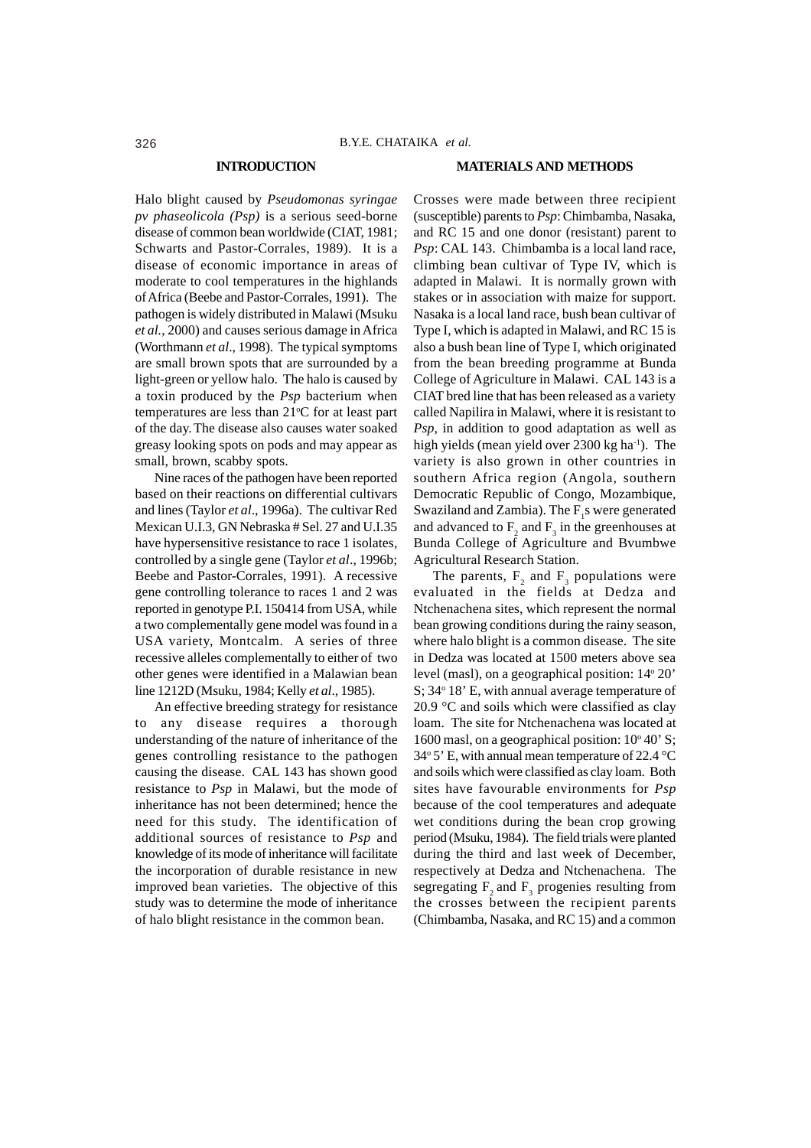#### **INTRODUCTION**

#### **MATERIALS AND METHODS**

Halo blight caused by *Pseudomonas syringae pv phaseolicola (Psp)* is a serious seed-borne disease of common bean worldwide (CIAT, 1981; Schwarts and Pastor-Corrales, 1989). It is a disease of economic importance in areas of moderate to cool temperatures in the highlands of Africa (Beebe and Pastor-Corrales, 1991). The pathogen is widely distributed in Malawi (Msuku *et al.*, 2000) and causes serious damage in Africa (Worthmann *et al*., 1998). The typical symptoms are small brown spots that are surrounded by a light-green or yellow halo. The halo is caused by a toxin produced by the *Psp* bacterium when temperatures are less than  $21^{\circ}$ C for at least part of the day.The disease also causes water soaked greasy looking spots on pods and may appear as small, brown, scabby spots.

Nine races of the pathogen have been reported based on their reactions on differential cultivars and lines (Taylor *et al*., 1996a). The cultivar Red Mexican U.I.3, GN Nebraska # Sel. 27 and U.I.35 have hypersensitive resistance to race 1 isolates, controlled by a single gene (Taylor *et al*., 1996b; Beebe and Pastor-Corrales, 1991). A recessive gene controlling tolerance to races 1 and 2 was reported in genotype P.I. 150414 from USA, while a two complementally gene model was found in a USA variety, Montcalm. A series of three recessive alleles complementally to either of two other genes were identified in a Malawian bean line 1212D (Msuku, 1984; Kelly *et al*., 1985).

An effective breeding strategy for resistance to any disease requires a thorough understanding of the nature of inheritance of the genes controlling resistance to the pathogen causing the disease. CAL 143 has shown good resistance to *Psp* in Malawi, but the mode of inheritance has not been determined; hence the need for this study. The identification of additional sources of resistance to *Psp* and knowledge of its mode of inheritance will facilitate the incorporation of durable resistance in new improved bean varieties. The objective of this study was to determine the mode of inheritance of halo blight resistance in the common bean.

Crosses were made between three recipient (susceptible) parents to *Psp*: Chimbamba, Nasaka, and RC 15 and one donor (resistant) parent to *Psp*: CAL 143. Chimbamba is a local land race, climbing bean cultivar of Type IV, which is adapted in Malawi. It is normally grown with stakes or in association with maize for support. Nasaka is a local land race, bush bean cultivar of Type I, which is adapted in Malawi, and RC 15 is also a bush bean line of Type I, which originated from the bean breeding programme at Bunda College of Agriculture in Malawi. CAL 143 is a CIAT bred line that has been released as a variety called Napilira in Malawi, where it is resistant to *Psp,* in addition to good adaptation as well as high yields (mean yield over 2300 kg ha<sup>-1</sup>). The variety is also grown in other countries in southern Africa region (Angola, southern Democratic Republic of Congo, Mozambique, Swaziland and Zambia). The  $F_1$ s were generated and advanced to  $F_2$  and  $F_3$  in the greenhouses at Bunda College of Agriculture and Bvumbwe Agricultural Research Station.

The parents,  $F_2$  and  $F_3$  populations were evaluated in the fields at Dedza and Ntchenachena sites, which represent the normal bean growing conditions during the rainy season, where halo blight is a common disease. The site in Dedza was located at 1500 meters above sea level (masl), on a geographical position: 14° 20' S; 34° 18' E, with annual average temperature of 20.9 °C and soils which were classified as clay loam. The site for Ntchenachena was located at 1600 masl, on a geographical position: 10° 40' S; 34 $\degree$  5' E, with annual mean temperature of 22.4  $\degree$ C and soils which were classified as clay loam. Both sites have favourable environments for *Psp* because of the cool temperatures and adequate wet conditions during the bean crop growing period (Msuku, 1984). The field trials were planted during the third and last week of December, respectively at Dedza and Ntchenachena. The segregating  $F_2$  and  $F_3$  progenies resulting from the crosses between the recipient parents (Chimbamba, Nasaka, and RC 15) and a common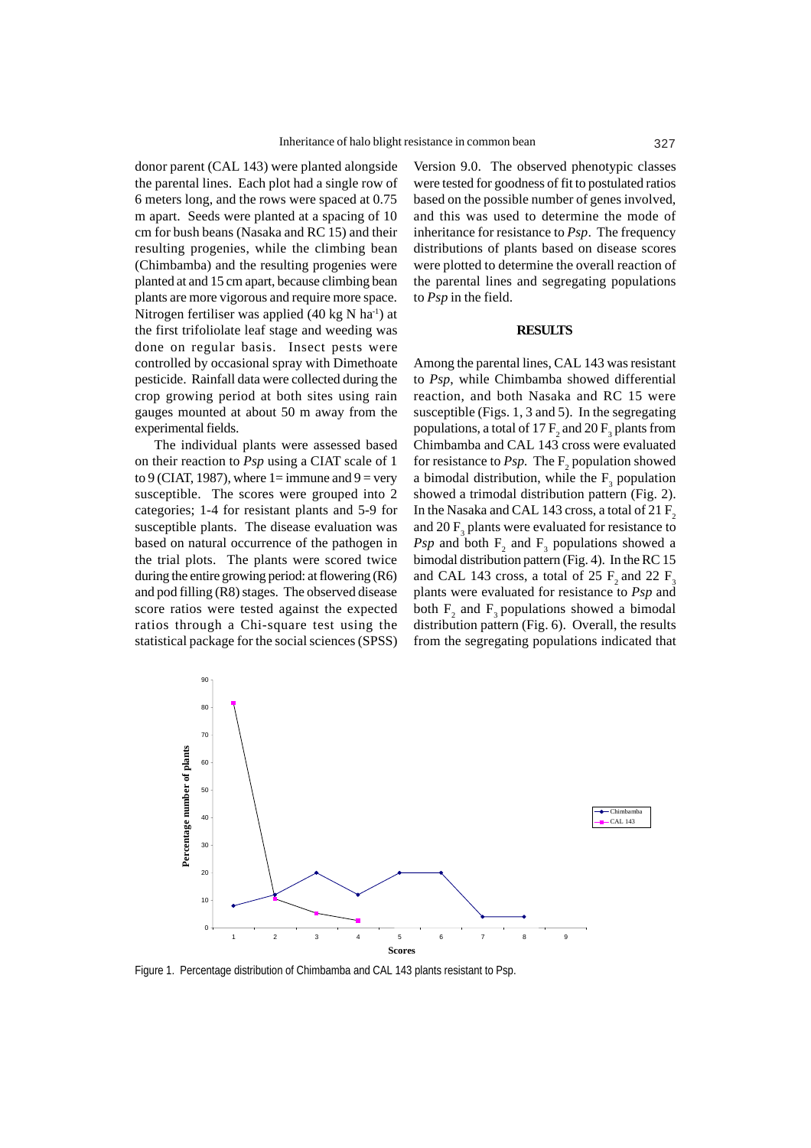donor parent (CAL 143) were planted alongside the parental lines. Each plot had a single row of 6 meters long, and the rows were spaced at 0.75 m apart. Seeds were planted at a spacing of 10 cm for bush beans (Nasaka and RC 15) and their resulting progenies, while the climbing bean (Chimbamba) and the resulting progenies were planted at and 15 cm apart, because climbing bean plants are more vigorous and require more space. Nitrogen fertiliser was applied (40 kg N ha<sup>-1</sup>) at the first trifoliolate leaf stage and weeding was done on regular basis. Insect pests were controlled by occasional spray with Dimethoate pesticide. Rainfall data were collected during the crop growing period at both sites using rain gauges mounted at about 50 m away from the experimental fields.

The individual plants were assessed based on their reaction to *Psp* using a CIAT scale of 1 to 9 (CIAT, 1987), where  $1 = \text{immune}$  and  $9 = \text{very}$ susceptible. The scores were grouped into 2 categories; 1-4 for resistant plants and 5-9 for susceptible plants. The disease evaluation was based on natural occurrence of the pathogen in the trial plots. The plants were scored twice during the entire growing period: at flowering (R6) and pod filling (R8) stages. The observed disease score ratios were tested against the expected ratios through a Chi-square test using the statistical package for the social sciences (SPSS)

Version 9.0. The observed phenotypic classes were tested for goodness of fit to postulated ratios based on the possible number of genes involved, and this was used to determine the mode of inheritance for resistance to *Psp*. The frequency distributions of plants based on disease scores were plotted to determine the overall reaction of the parental lines and segregating populations to *Psp* in the field.

### **RESULTS**

Among the parental lines, CAL 143 was resistant to *Psp*, while Chimbamba showed differential reaction, and both Nasaka and RC 15 were susceptible (Figs. 1, 3 and 5). In the segregating populations, a total of 17  $\text{F}_{\text{2}}$  and 20  $\text{F}_{\text{3}}$  plants from Chimbamba and CAL 143 cross were evaluated for resistance to *Psp*. The  $F_2$  population showed a bimodal distribution, while the  $F_3$  population showed a trimodal distribution pattern (Fig. 2). In the Nasaka and CAL 143 cross, a total of 21  $F_2$ and 20  $F_3$  plants were evaluated for resistance to *Psp* and both  $F_2$  and  $F_3$  populations showed a bimodal distribution pattern (Fig. 4). In the RC 15 and CAL 143 cross, a total of 25  $F_2$  and 22  $F_3$ plants were evaluated for resistance to *Psp* and both  $F_2$  and  $F_3$  populations showed a bimodal distribution pattern (Fig. 6). Overall, the results from the segregating populations indicated that



Figure 1. Percentage distribution of Chimbamba and CAL 143 plants resistant to Psp.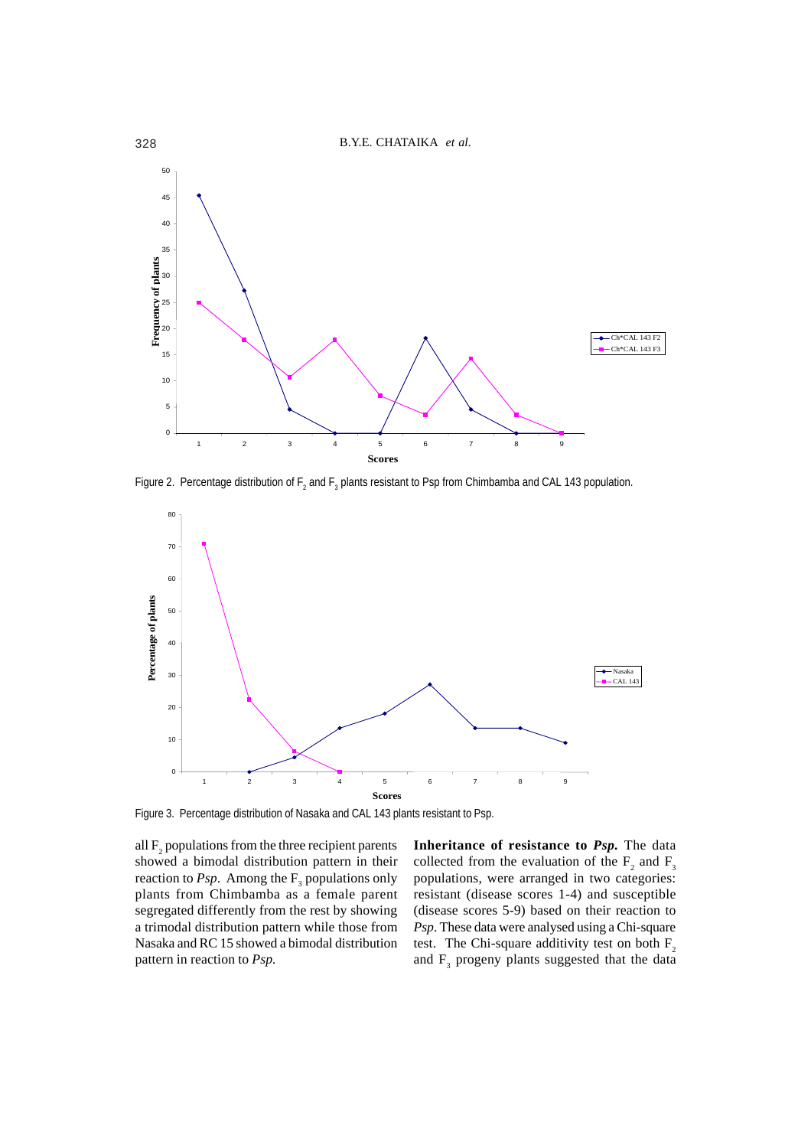

Figure 2. Percentage distribution of  $F_2$  and  $F_3$  plants resistant to Psp from Chimbamba and CAL 143 population.



Figure 3. Percentage distribution of Nasaka and CAL 143 plants resistant to Psp.

all  $F_2$  populations from the three recipient parents showed a bimodal distribution pattern in their reaction to *Psp*. Among the  $F_3$  populations only plants from Chimbamba as a female parent segregated differently from the rest by showing a trimodal distribution pattern while those from Nasaka and RC 15 showed a bimodal distribution pattern in reaction to *Psp.*

**Inheritance of resistance to** *Psp.* The data collected from the evaluation of the  $F_2$  and  $F_3$ populations, were arranged in two categories: resistant (disease scores 1-4) and susceptible (disease scores 5-9) based on their reaction to *Psp*. These data were analysed using a Chi-square test. The Chi-square additivity test on both  $F_2$ and  $F_3$  progeny plants suggested that the data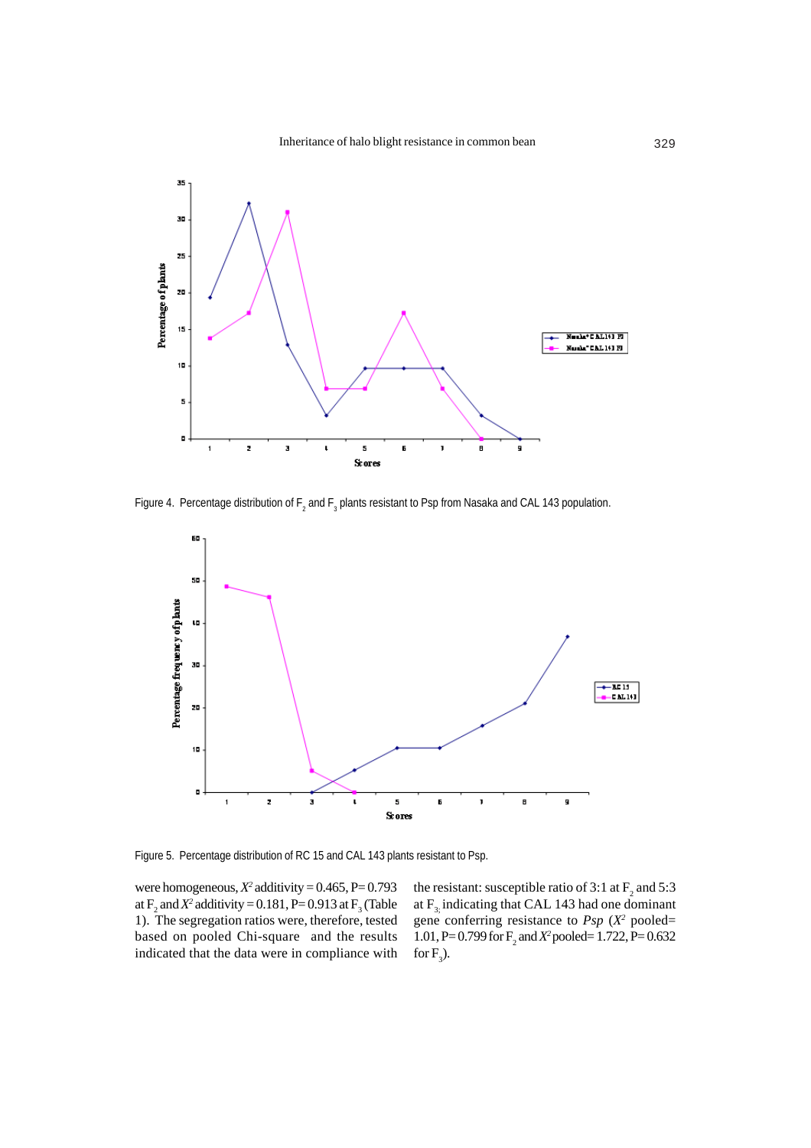

Figure 4. Percentage distribution of  $\mathsf{F}_2$  and  $\mathsf{F}_3$  plants resistant to Psp from Nasaka and CAL 143 population.



Figure 5. Percentage distribution of RC 15 and CAL 143 plants resistant to Psp.

were homogeneous,  $X^2$  additivity =  $0.465$ , P= $0.793$ at  $F_2$  and  $X^2$  additivity = 0.181, P= 0.913 at  $F_3$  (Table 1). The segregation ratios were, therefore, tested based on pooled Chi-square and the results indicated that the data were in compliance with

the resistant: susceptible ratio of 3:1 at  $F_2$  and 5:3 at  $F<sub>3</sub>$  indicating that CAL 143 had one dominant gene conferring resistance to  $Psp(X^2)$  pooled= 1.01, P= 0.799 for  $F_2$  and  $X^2$  pooled= 1.722, P= 0.632 for  $F_3$ ).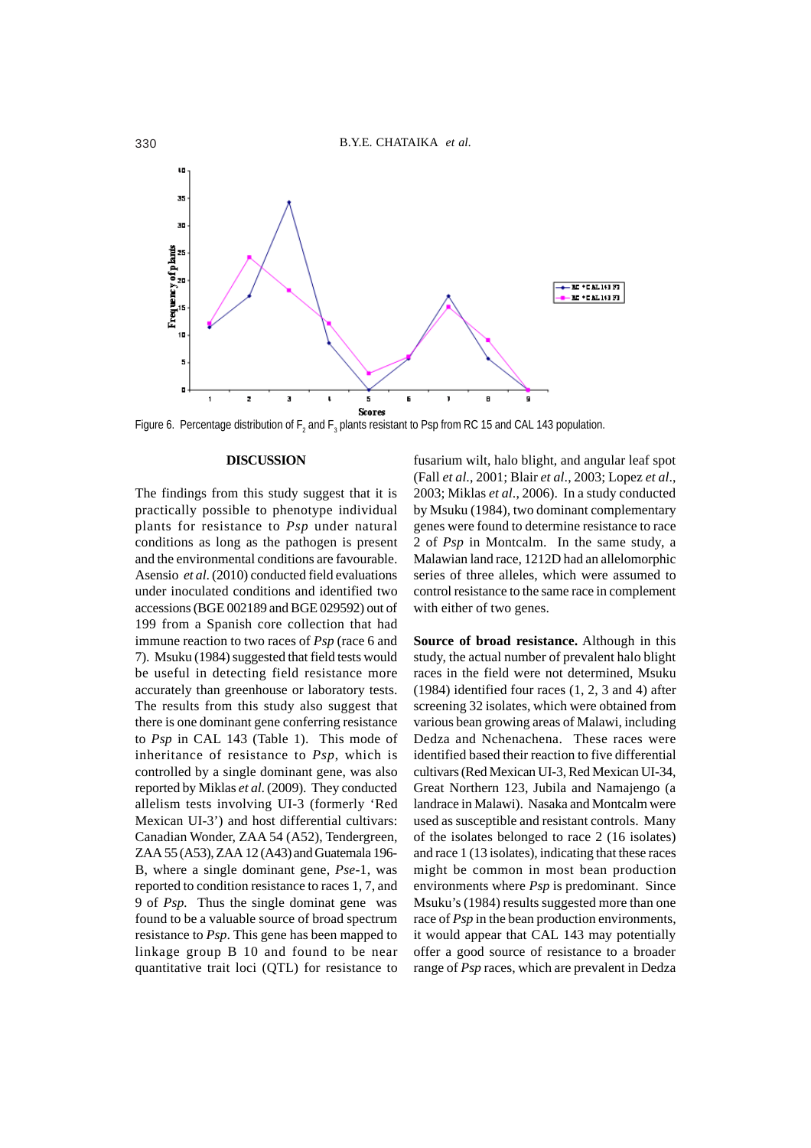

Figure 6. Percentage distribution of  $F_2$  and  $F_3$  plants resistant to Psp from RC 15 and CAL 143 population.

## **DISCUSSION**

The findings from this study suggest that it is practically possible to phenotype individual plants for resistance to *Psp* under natural conditions as long as the pathogen is present and the environmental conditions are favourable. Asensio *et al*. (2010) conducted field evaluations under inoculated conditions and identified two accessions (BGE 002189 and BGE 029592) out of 199 from a Spanish core collection that had immune reaction to two races of *Psp* (race 6 and 7). Msuku (1984) suggested that field tests would be useful in detecting field resistance more accurately than greenhouse or laboratory tests. The results from this study also suggest that there is one dominant gene conferring resistance to *Psp* in CAL 143 (Table 1). This mode of inheritance of resistance to *Psp*, which is controlled by a single dominant gene, was also reported by Miklas *et al*. (2009). They conducted allelism tests involving UI-3 (formerly 'Red Mexican UI-3') and host differential cultivars: Canadian Wonder, ZAA 54 (A52), Tendergreen, ZAA 55 (A53), ZAA 12 (A43) and Guatemala 196- B, where a single dominant gene, *Pse-*1, was reported to condition resistance to races 1, 7, and 9 of *Psp.* Thus the single dominat gene was found to be a valuable source of broad spectrum resistance to *Psp*. This gene has been mapped to linkage group B 10 and found to be near quantitative trait loci (QTL) for resistance to

fusarium wilt, halo blight, and angular leaf spot (Fall *et al*., 2001; Blair *et al*., 2003; Lopez *et al*., 2003; Miklas *et al*., 2006). In a study conducted by Msuku (1984), two dominant complementary genes were found to determine resistance to race 2 of *Psp* in Montcalm. In the same study, a Malawian land race, 1212D had an allelomorphic series of three alleles, which were assumed to control resistance to the same race in complement with either of two genes.

**Source of broad resistance.** Although in this study, the actual number of prevalent halo blight races in the field were not determined, Msuku (1984) identified four races (1, 2, 3 and 4) after screening 32 isolates, which were obtained from various bean growing areas of Malawi, including Dedza and Nchenachena. These races were identified based their reaction to five differential cultivars (Red Mexican UI-3, Red Mexican UI-34, Great Northern 123, Jubila and Namajengo (a landrace in Malawi). Nasaka and Montcalm were used as susceptible and resistant controls. Many of the isolates belonged to race 2 (16 isolates) and race 1 (13 isolates), indicating that these races might be common in most bean production environments where *Psp* is predominant. Since Msuku's (1984) results suggested more than one race of *Psp* in the bean production environments, it would appear that CAL 143 may potentially offer a good source of resistance to a broader range of *Psp* races, which are prevalent in Dedza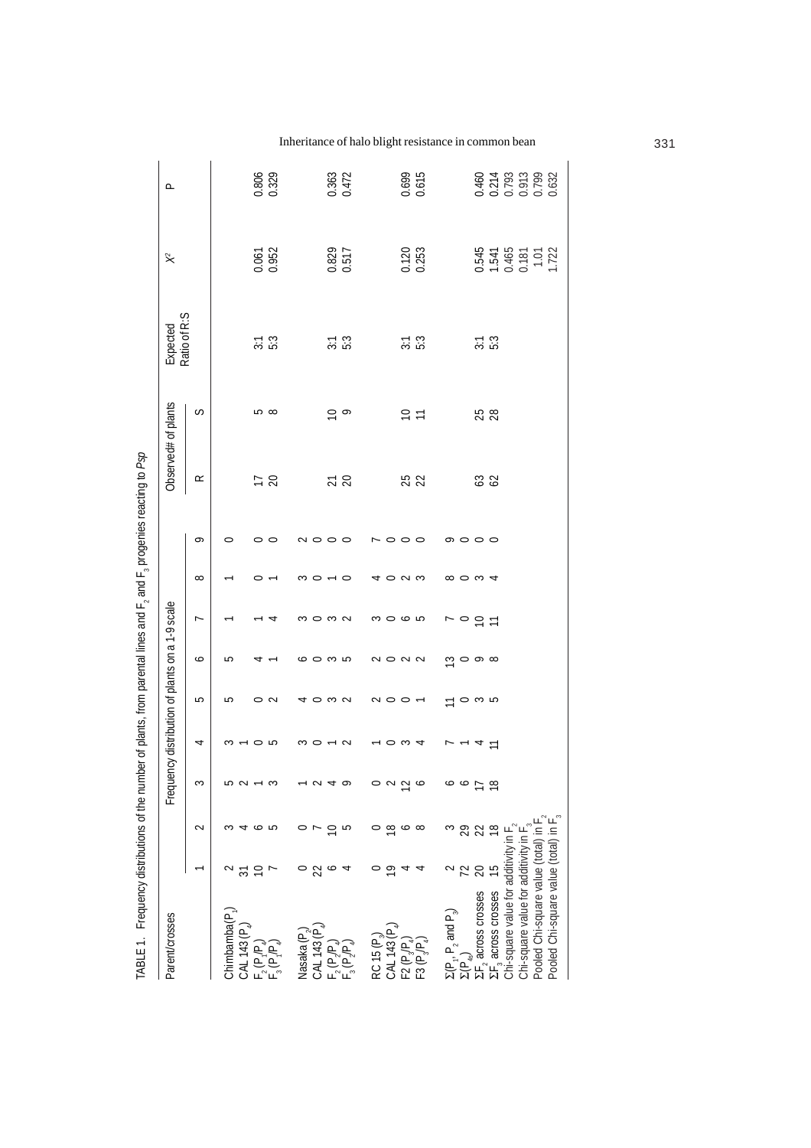|                                                                                     |                 |               |                |                |                         |                                                                                                                   | 4        | $\frac{1}{2}$ |                         |                     |               |                             |                                              |                                           |
|-------------------------------------------------------------------------------------|-----------------|---------------|----------------|----------------|-------------------------|-------------------------------------------------------------------------------------------------------------------|----------|---------------|-------------------------|---------------------|---------------|-----------------------------|----------------------------------------------|-------------------------------------------|
| Parent/crosses                                                                      |                 |               |                |                |                         | Frequency distribution of plants on a 1-9 scale                                                                   |          |               |                         | Observed# of plants |               | Ratio of R:S<br>Expected    | $\stackrel{\scriptscriptstyle \sim}{\times}$ | ௨                                         |
|                                                                                     |                 | $\sim$        | 3              | 4              | 5                       | ∘                                                                                                                 | ∼        | $\infty$      | q                       | $\propto$           | S             |                             |                                              |                                           |
| Chimbamba(P <sub>1</sub> )<br>CAL 143 (P.                                           |                 |               |                |                | 5                       | صا                                                                                                                |          |               | 0                       |                     |               |                             |                                              |                                           |
|                                                                                     |                 | م م           |                |                |                         |                                                                                                                   |          |               |                         | $\frac{2}{3}$       | <u> က</u> ထ   | $\frac{2}{3}$ :3            | 0.061<br>0.952                               | 0.806                                     |
| $F_2(P_4P_4)$                                                                       | F               |               |                |                | $\sim$                  |                                                                                                                   |          |               | $\circ$                 |                     |               |                             |                                              |                                           |
| Nasaka (P,                                                                          |                 |               |                |                | ⇆                       | ∽                                                                                                                 |          |               | $\sim$ $\circ$          |                     |               |                             |                                              |                                           |
| CAL 143 (P)                                                                         |                 |               |                |                | $\circ$ $\circ$ $\circ$ | $\circ$                                                                                                           | moma     |               |                         |                     |               |                             |                                              |                                           |
| $F_2(P_2P_4)$                                                                       |                 |               |                |                |                         | က ဟ                                                                                                               |          |               | $\circ$                 | $\overline{2}$      | $\frac{1}{2}$ | $\frac{2}{5}$ $\frac{3}{5}$ | 0.829                                        | 0.363<br>0.472                            |
|                                                                                     |                 | 5             |                |                |                         |                                                                                                                   |          | 0             |                         |                     |               |                             |                                              |                                           |
| $RC$ 15 $(P_{\alpha}$                                                               |                 |               |                |                |                         |                                                                                                                   |          |               | $\sim$ 0                |                     |               |                             |                                              |                                           |
| CAL 143 (P.)                                                                        | ₽               | $\infty$      |                |                |                         |                                                                                                                   |          |               |                         |                     |               |                             |                                              |                                           |
| $F2(P,P)$<br>$F3(P,P)$                                                              | 4               | $\circ$       | $\tilde{ }$    | c              | $\sim$ 0 0 $-$          | $\begin{array}{c} \mathcal{N} & \mathcal{O} & \mathcal{N} \\ \mathcal{N} & \mathcal{N} & \mathcal{N} \end{array}$ | m 0 0 10 | $\sim$        | $\circ$                 | 25                  | $\Xi \Xi$     | $\frac{2}{3}$ :3            | 0.120<br>0.253                               | 0.699<br>0.615                            |
|                                                                                     | 4               | $\infty$      |                |                |                         |                                                                                                                   |          | S             | $\circ$                 |                     |               |                             |                                              |                                           |
|                                                                                     |                 | S             |                |                | $\equiv$                |                                                                                                                   |          |               |                         |                     |               |                             |                                              |                                           |
| $\Sigma(P_1, P_2 \text{ and } P_3)$<br>$\Sigma(P_4)$<br>$\Sigma F_1$ across crosses | 72              | 29            | ∘              |                | o w ro                  | $\circ$ $\circ$ $\circ$ $\circ$                                                                                   | 그 으 으 ㄱ  | ∞ ○ ∞ ⊄       | $\circ$ $\circ$ $\circ$ |                     |               |                             |                                              |                                           |
|                                                                                     | 20              | 22            | Ξ              |                |                         |                                                                                                                   |          |               |                         | 32                  | 25<br>28      | $\frac{2}{3}$ :3            |                                              |                                           |
| $\Sigma F_3$ across crosses                                                         | $\overline{15}$ | $\frac{8}{1}$ | $\frac{8}{10}$ | $\overline{1}$ |                         |                                                                                                                   |          |               |                         |                     |               |                             |                                              |                                           |
| Chi-square value for additivity in F                                                |                 |               |                |                |                         |                                                                                                                   |          |               |                         |                     |               |                             |                                              |                                           |
| Chi-square value for additivity in F                                                |                 |               |                |                |                         |                                                                                                                   |          |               |                         |                     |               |                             | 0.545<br>1.541<br>0.465<br>1.722<br>1.722    | 0.460<br>0.214<br>0.793<br>0.632<br>0.632 |
| Pooled Chi-square value (total) in I                                                |                 |               |                |                |                         |                                                                                                                   |          |               |                         |                     |               |                             |                                              |                                           |
| Pooled Chi-square value (total) in F                                                |                 |               |                |                |                         |                                                                                                                   |          |               |                         |                     |               |                             |                                              |                                           |

TABLE 1. Frequency distributions of the number of plants, from parental lines and F, and F, progenies reacting to Psp TABLE 1. Frequency distributions of the number of plants, from parental lines and F2 and F3 progenies reacting to *Psp* Inheritance of halo blight resistance in common bean 331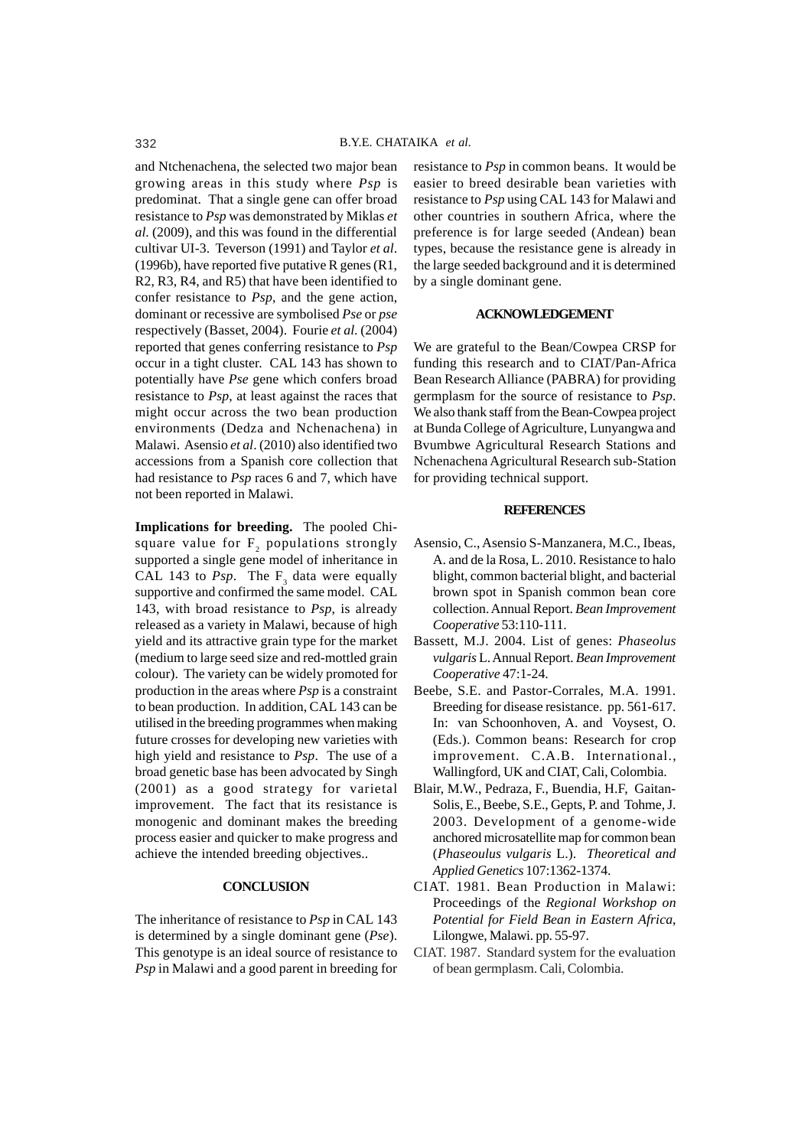and Ntchenachena, the selected two major bean growing areas in this study where *Psp* is predominat. That a single gene can offer broad resistance to *Psp* was demonstrated by Miklas *et al*. (2009), and this was found in the differential cultivar UI-3. Teverson (1991) and Taylor *et al*. (1996b), have reported five putative R genes (R1, R2, R3, R4, and R5) that have been identified to confer resistance to *Psp*, and the gene action, dominant or recessive are symbolised *Pse* or *pse* respectively (Basset, 2004). Fourie *et al*. (2004) reported that genes conferring resistance to *Psp* occur in a tight cluster. CAL 143 has shown to potentially have *Pse* gene which confers broad resistance to *Psp*, at least against the races that might occur across the two bean production environments (Dedza and Nchenachena) in Malawi. Asensio *et al*. (2010) also identified two accessions from a Spanish core collection that had resistance to *Psp* races 6 and 7, which have not been reported in Malawi.

**Implications for breeding.** The pooled Chisquare value for  $F<sub>2</sub>$  populations strongly supported a single gene model of inheritance in CAL 143 to  $Psp$ . The  $F_3$  data were equally supportive and confirmed the same model. CAL 143, with broad resistance to *Psp*, is already released as a variety in Malawi, because of high yield and its attractive grain type for the market (medium to large seed size and red-mottled grain colour). The variety can be widely promoted for production in the areas where *Psp* is a constraint to bean production. In addition, CAL 143 can be utilised in the breeding programmes when making future crosses for developing new varieties with high yield and resistance to *Psp*. The use of a broad genetic base has been advocated by Singh (2001) as a good strategy for varietal improvement. The fact that its resistance is monogenic and dominant makes the breeding process easier and quicker to make progress and achieve the intended breeding objectives..

## **CONCLUSION**

The inheritance of resistance to *Psp* in CAL 143 is determined by a single dominant gene (*Pse*). This genotype is an ideal source of resistance to *Psp* in Malawi and a good parent in breeding for resistance to *Psp* in common beans. It would be easier to breed desirable bean varieties with resistance to *Psp* using CAL 143 for Malawi and other countries in southern Africa, where the preference is for large seeded (Andean) bean types, because the resistance gene is already in the large seeded background and it is determined by a single dominant gene.

## **ACKNOWLEDGEMENT**

We are grateful to the Bean/Cowpea CRSP for funding this research and to CIAT/Pan-Africa Bean Research Alliance (PABRA) for providing germplasm for the source of resistance to *Psp*. We also thank staff from the Bean-Cowpea project at Bunda College of Agriculture, Lunyangwa and Bvumbwe Agricultural Research Stations and Nchenachena Agricultural Research sub-Station for providing technical support.

## **REFERENCES**

- Asensio, C., Asensio S-Manzanera, M.C., Ibeas, A. and de la Rosa, L. 2010. Resistance to halo blight, common bacterial blight, and bacterial brown spot in Spanish common bean core collection. Annual Report. *Bean Improvement Cooperative* 53:110-111.
- Bassett, M.J. 2004. List of genes: *Phaseolus vulgaris* L. Annual Report. *Bean Improvement Cooperative* 47:1-24.
- Beebe, S.E. and Pastor-Corrales, M.A. 1991. Breeding for disease resistance. pp. 561-617. In: van Schoonhoven, A. and Voysest, O. (Eds.). Common beans: Research for crop improvement. C.A.B. International., Wallingford, UK and CIAT, Cali, Colombia.
- Blair, M.W., Pedraza, F., Buendia, H.F, Gaitan-Solis, E., Beebe, S.E., Gepts, P. and Tohme, J. 2003. Development of a genome-wide anchored microsatellite map for common bean (*Phaseoulus vulgaris* L.). *Theoretical and Applied Genetics* 107:1362-1374.
- CIAT. 1981. Bean Production in Malawi: Proceedings of the *Regional Workshop on Potential for Field Bean in Eastern Africa*, Lilongwe, Malawi. pp. 55-97.
- CIAT. 1987. Standard system for the evaluation of bean germplasm. Cali, Colombia.